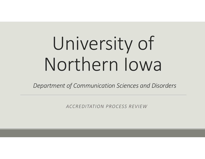# University of Northern Iowa

*Department of Communication Sciences and Disorders*

*ACCREDITATION PROCESS REVIEW*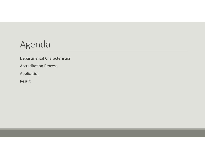# Agenda

Departmental Characteristics

Accreditation Process

Application

Result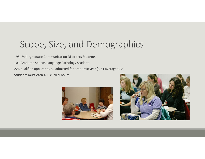## Scope, Size, and Demographics

195 Undergraduate Communication Disorders Students

- 101 Graduate Speech‐Language Pathology Students
- 226 qualified applicants, 52 admitted for academic year (3.61 average GPA)

Students must earn 400 clinical hours



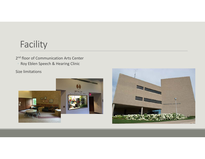# Facility

2<sup>nd</sup> floor of Communication Arts Center ◦ Roy Eblen Speech & Hearing Clinic

Size limitations



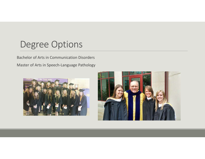#### Degree Options

Bachelor of Arts in Communication Disorders

Master of Arts in Speech‐Language Pathology



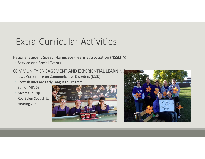# Extra‐Curricular Activities

#### National Student Speech‐Language‐Hearing Association (NSSLHA)

◦ Service and Social Events

#### COMMUNITY ENGAGEMENT AND EXPERIENTIAL LEARNING

- Iowa Conference on Communicative Disorders (ICCD)
- Scottish RiteCare Early Language Program
- Senior MINDS
- Nicaragua Trip
- Roy Eblen Speech &
- Hearing Clinic



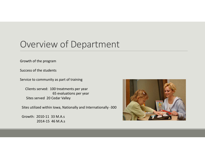## Overview of Department

Growth of the program

Success of the students

Service to community as part of training

Clients served: 100 treatments per year 65 evaluations per year Sites served 20 Cedar Valley

Sites utilized within Iowa, Nationally and Internationally ‐300

Growth: 2010‐11 33 M.A.s 2014‐15 46 M.A.s

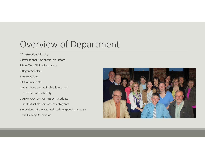## Overview of Department

10 Instructional Faculty

- 2 Professional & Scientific Instructors
- 8 Part‐Time Clinical Instructors
- 3 Regent Scholars
- 3 ASHA Fellows
- 3 ISHA Presidents
- 4 Alums have earned Ph.D.'s & returned

to be part of the faculty

2 ASHA FOUNDATION NSSLHA Graduate

student scholarship or research grants

3 Presidents of the National Student Speech‐Language and Hearing Association

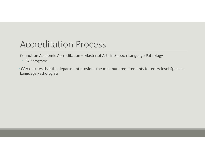## Accreditation Process

Council on Academic Accreditation – Master of Arts in Speech‐Language Pathology

• 320 programs

• CAA ensures that the department provides the minimum requirements for entry level Speech‐ Language Pathologists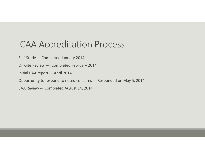#### CAA Accreditation Process

Self-Study -- Completed January 2014

On‐Site Review ‐‐‐ Completed February 2014

Initial CAA report ‐‐ April 2014

Opportunity to respond to noted concerns ‐‐ Responded on May 5, 2014

CAA Review ‐‐ Completed August 14, 2014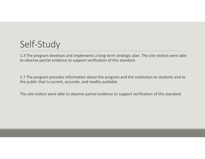# Self‐Study

1.3 The program develops and implements <sup>a</sup> long‐term strategic plan. The site visitors were able to observe partial evidence to support verification of this standard.

1.7 The program provides information about the program and the institution to students and to the public that is current, accurate, and readily available.

The site visitors were able to observe partial evidence to support verification of this standard.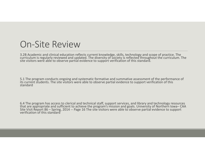#### On‐Site Review

3.2B Academic and clinical education reflects current knowledge, skills, technology and scope of practice. The<br>curriculum is regularly reviewed and updated. The diversity of society is reflected throughout the curriculum. site visitors were able to observe partial evidence to support verification of this standard.

5.1 The program conducts ongoing and systematic formative and summative assessment of the performance of its current students. The site visitors were able to observe partial evidence to support verification of this<br>standard

6.4 The program has access to clerical and technical staff, support services, and library and technology resources 6.4 The program has access to clerical and technical staff, support services, and library and technology resources<br>that are appropriate and sufficient to achieve the program's mission and goals. University of Northern Iowa Site Visit Report 86 – Spring, 2014 -- Page 16 The site visitors were able to observe partial evidence to support<br>verification of this standard verification of this standard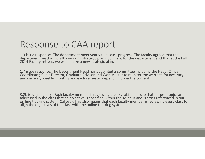#### Response to CAA report

1.3 issue response: The department meet yearly to discuss progress. The faculty agreed that the department head will draft a working strategic plan document for the department and that at the Fall 2014 Faculty retreat, we will finalize <sup>a</sup> new strategic plan.

1.7 issue response: The Department Head has appointed a committee including the Head, Office Coordinator, Clinic Director, Graduate Advisor and Web Master to monitor the web site for accuracy and currency weekly, monthly and each semester depending upon the content.

3.2b issue response: Each faculty member is reviewing their syllabi to ensure that if these topics are 3.2b issue response: Each faculty member is reviewing their syllabi to ensure that if these topics are<br>addressed in the class that an objective is specified within the syllabus and is cross referenced in our on line tracking system (Calipso). This also means that each faculty member is reviewing every class to<br>align the objectives of the class with the online tracking system.